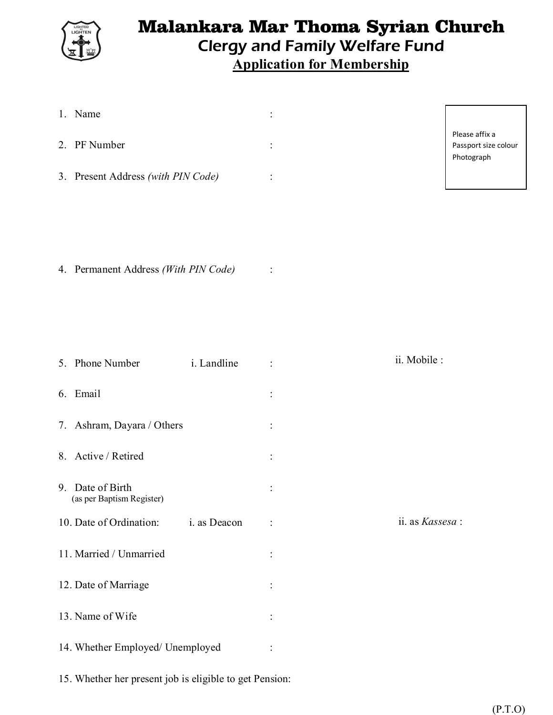

# Malankara Mar Thoma Syrian Church Clergy and Family Welfare Fund **Application for Membership**

-F

|                                  | 1. Name                                       |          |                 |                                                      |
|----------------------------------|-----------------------------------------------|----------|-----------------|------------------------------------------------------|
|                                  | 2. PF Number                                  |          |                 | Please affix a<br>Passport size colour<br>Photograph |
|                                  | 3. Present Address (with PIN Code)            |          |                 |                                                      |
|                                  | 4. Permanent Address (With PIN Code)          |          |                 |                                                      |
|                                  | 5. Phone Number<br>i. Landline                |          | ii. Mobile :    |                                                      |
|                                  | 6. Email                                      |          |                 |                                                      |
|                                  | 7. Ashram, Dayara / Others                    |          |                 |                                                      |
|                                  | 8. Active / Retired                           |          |                 |                                                      |
|                                  | 9. Date of Birth<br>(as per Baptism Register) | $\vdots$ |                 |                                                      |
|                                  | 10. Date of Ordination:<br>i. as Deacon       |          | ii. as Kassesa: |                                                      |
|                                  | 11. Married / Unmarried                       |          |                 |                                                      |
|                                  | 12. Date of Marriage                          |          |                 |                                                      |
|                                  | 13. Name of Wife                              |          |                 |                                                      |
| 14. Whether Employed/ Unemployed |                                               | ÷        |                 |                                                      |

15. Whether her present job is eligible to get Pension: